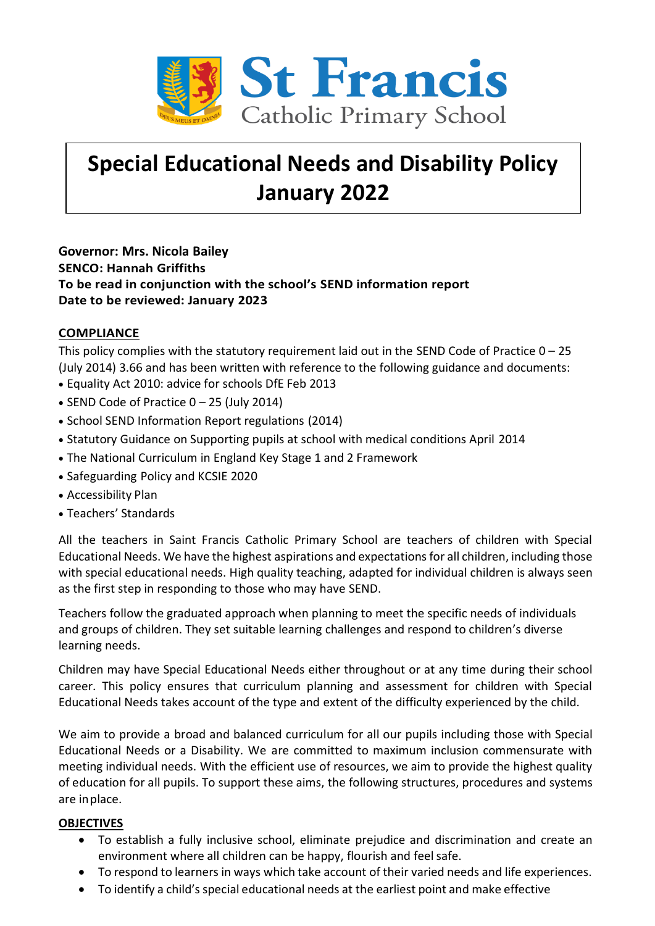

# **Special Educational Needs and Disability Policy January 2022**

**Governor: Mrs. Nicola Bailey SENCO: Hannah Griffiths To be read in conjunction with the school's SEND information report Date to be reviewed: January 2023**

## **COMPLIANCE**

This policy complies with the statutory requirement laid out in the SEND Code of Practice  $0 - 25$ (July 2014) 3.66 and has been written with reference to the following guidance and documents:

- Equality Act 2010: advice for schools DfE Feb 2013
- SEND Code of Practice 0 25 (July 2014)
- School SEND Information Report regulations (2014)
- Statutory Guidance on Supporting pupils at school with medical conditions April 2014
- The National Curriculum in England Key Stage 1 and 2 Framework
- Safeguarding Policy and KCSIE 2020
- Accessibility Plan
- Teachers' Standards

All the teachers in Saint Francis Catholic Primary School are teachers of children with Special Educational Needs. We have the highest aspirations and expectations for all children, including those with special educational needs. High quality teaching, adapted for individual children is always seen as the first step in responding to those who may have SEND.

Teachers follow the graduated approach when planning to meet the specific needs of individuals and groups of children. They set suitable learning challenges and respond to children's diverse learning needs.

Children may have Special Educational Needs either throughout or at any time during their school career. This policy ensures that curriculum planning and assessment for children with Special Educational Needs takes account of the type and extent of the difficulty experienced by the child.

We aim to provide a broad and balanced curriculum for all our pupils including those with Special Educational Needs or a Disability. We are committed to maximum inclusion commensurate with meeting individual needs. With the efficient use of resources, we aim to provide the highest quality of education for all pupils. To support these aims, the following structures, procedures and systems are inplace.

## **OBJECTIVES**

- To establish a fully inclusive school, eliminate prejudice and discrimination and create an environment where all children can be happy, flourish and feelsafe.
- To respond to learners in ways which take account of their varied needs and life experiences.
- To identify a child's special educational needs at the earliest point and make effective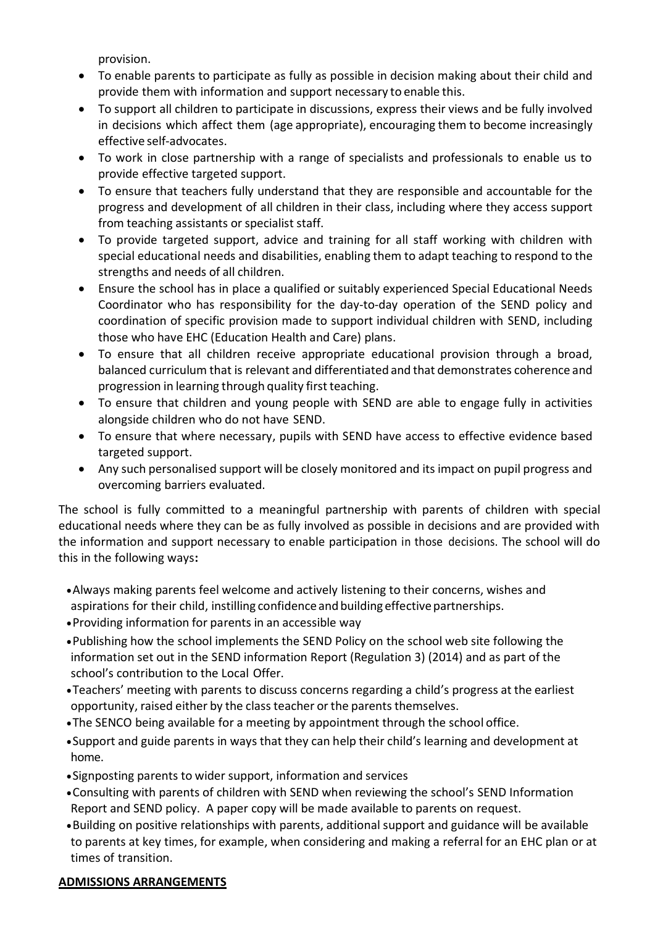provision.

- To enable parents to participate as fully as possible in decision making about their child and provide them with information and support necessary to enable this.
- To support all children to participate in discussions, express their views and be fully involved in decisions which affect them (age appropriate), encouraging them to become increasingly effective self-advocates.
- To work in close partnership with a range of specialists and professionals to enable us to provide effective targeted support.
- To ensure that teachers fully understand that they are responsible and accountable for the progress and development of all children in their class, including where they access support from teaching assistants or specialist staff.
- To provide targeted support, advice and training for all staff working with children with special educational needs and disabilities, enabling them to adapt teaching to respond to the strengths and needs of all children.
- Ensure the school has in place a qualified or suitably experienced Special Educational Needs Coordinator who has responsibility for the day-to-day operation of the SEND policy and coordination of specific provision made to support individual children with SEND, including those who have EHC (Education Health and Care) plans.
- To ensure that all children receive appropriate educational provision through a broad, balanced curriculum that is relevant and differentiated and that demonstrates coherence and progression in learning through quality first teaching.
- To ensure that children and young people with SEND are able to engage fully in activities alongside children who do not have SEND.
- To ensure that where necessary, pupils with SEND have access to effective evidence based targeted support.
- Any such personalised support will be closely monitored and its impact on pupil progress and overcoming barriers evaluated.

The school is fully committed to a meaningful partnership with parents of children with special educational needs where they can be as fully involved as possible in decisions and are provided with the information and support necessary to enable participation in those decisions. The school will do this in the following ways**:**

- •Always making parents feel welcome and actively listening to their concerns, wishes and aspirations for their child, instilling confidence and building effective partnerships.
- •Providing information for parents in an accessible way
- •Publishing how the school implements the SEND Policy on the school web site following the information set out in the SEND information Report (Regulation 3) (2014) and as part of the school's contribution to the Local Offer.
- •Teachers' meeting with parents to discuss concerns regarding a child's progress at the earliest opportunity, raised either by the class teacher or the parents themselves.
- •The SENCO being available for a meeting by appointment through the school office.
- •Support and guide parents in ways that they can help their child's learning and development at home.
- •Signposting parents to wider support, information and services
- •Consulting with parents of children with SEND when reviewing the school's SEND Information Report and SEND policy. A paper copy will be made available to parents on request.
- •Building on positive relationships with parents, additional support and guidance will be available to parents at key times, for example, when considering and making a referral for an EHC plan or at times of transition.

## **ADMISSIONS ARRANGEMENTS**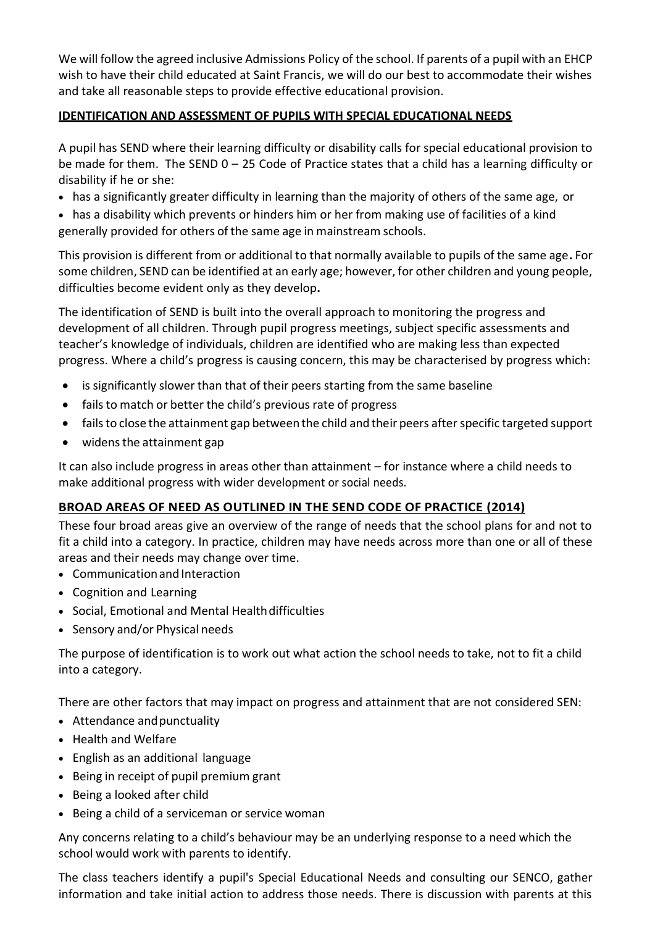We will follow the agreed inclusive Admissions Policy of the school. If parents of a pupil with an EHCP wish to have their child educated at Saint Francis, we will do our best to accommodate their wishes and take all reasonable steps to provide effective educational provision.

## **IDENTIFICATION AND ASSESSMENT OF PUPILS WITH SPECIAL EDUCATIONAL NEEDS**

A pupil has SEND where their learning difficulty or disability calls for special educational provision to be made for them. The SEND 0 – 25 Code of Practice states that a child has a learning difficulty or disability if he or she:

• has a significantly greater difficulty in learning than the majority of others of the same age, or

• has a disability which prevents or hinders him or her from making use of facilities of a kind generally provided for others of the same age in mainstream schools.

This provision is different from or additional to that normally available to pupils of the same age**.** For some children, SEND can be identified at an early age; however, for other children and young people, difficulties become evident only as they develop**.**

The identification of SEND is built into the overall approach to monitoring the progress and development of all children. Through pupil progress meetings, subject specific assessments and teacher's knowledge of individuals, children are identified who are making less than expected progress. Where a child's progress is causing concern, this may be characterised by progress which:

- is significantly slower than that of their peers starting from the same baseline
- fails to match or better the child's previous rate of progress
- failsto close the attainment gap between the child and their peers after specific targeted support
- widens the attainment gap

It can also include progress in areas other than attainment – for instance where a child needs to make additional progress with wider development or social needs.

# **BROAD AREAS OF NEED AS OUTLINED IN THE SEND CODE OF PRACTICE (2014)**

These four broad areas give an overview of the range of needs that the school plans for and not to fit a child into a category. In practice, children may have needs across more than one or all of these areas and their needs may change over time.

- Communicationand Interaction
- Cognition and Learning
- Social, Emotional and Mental Health difficulties
- Sensory and/or Physical needs

The purpose of identification is to work out what action the school needs to take, not to fit a child into a category.

There are other factors that may impact on progress and attainment that are not considered SEN:

- Attendance and punctuality
- Health and Welfare
- English as an additional language
- Being in receipt of pupil premium grant
- Being a looked after child
- Being a child of a serviceman or service woman

Any concerns relating to a child's behaviour may be an underlying response to a need which the school would work with parents to identify.

The class teachers identify a pupil's Special Educational Needs and consulting our SENCO, gather information and take initial action to address those needs. There is discussion with parents at this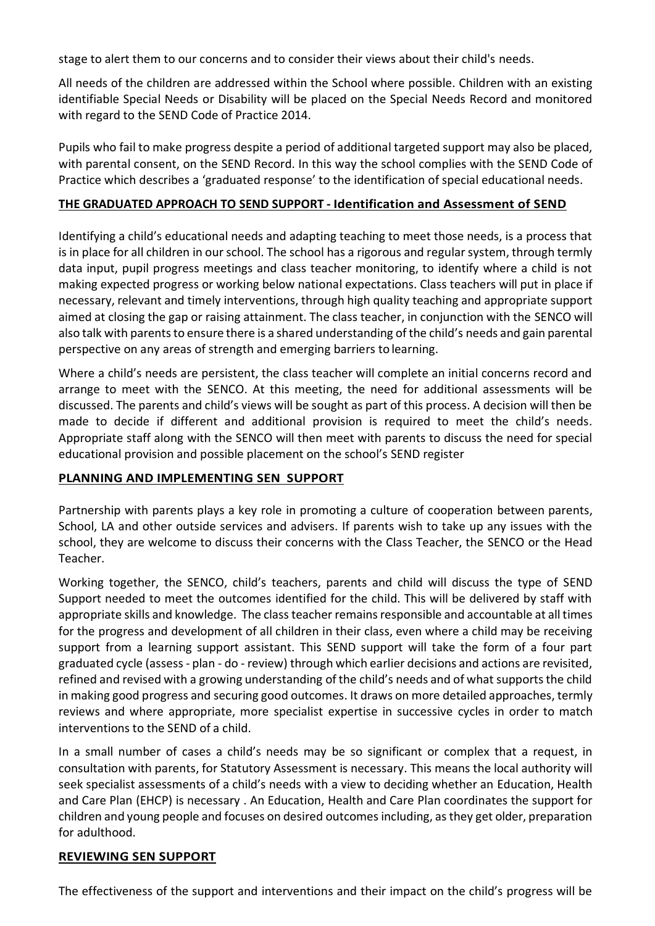stage to alert them to our concerns and to consider their views about their child's needs.

All needs of the children are addressed within the School where possible. Children with an existing identifiable Special Needs or Disability will be placed on the Special Needs Record and monitored with regard to the SEND Code of Practice 2014.

Pupils who fail to make progress despite a period of additional targeted support may also be placed, with parental consent, on the SEND Record. In this way the school complies with the SEND Code of Practice which describes a 'graduated response' to the identification of special educational needs.

#### **THE GRADUATED APPROACH TO SEND SUPPORT - Identification and Assessment of SEND**

Identifying a child's educational needs and adapting teaching to meet those needs, is a process that is in place for all children in our school. The school has a rigorous and regular system, through termly data input, pupil progress meetings and class teacher monitoring, to identify where a child is not making expected progress or working below national expectations. Class teachers will put in place if necessary, relevant and timely interventions, through high quality teaching and appropriate support aimed at closing the gap or raising attainment. The class teacher, in conjunction with the SENCO will also talk with parents to ensure there is a shared understanding of the child's needs and gain parental perspective on any areas of strength and emerging barriers to learning.

Where a child's needs are persistent, the class teacher will complete an initial concerns record and arrange to meet with the SENCO. At this meeting, the need for additional assessments will be discussed. The parents and child's views will be sought as part of this process. A decision will then be made to decide if different and additional provision is required to meet the child's needs*.*  Appropriate staff along with the SENCO will then meet with parents to discuss the need for special educational provision and possible placement on the school's SEND register

#### **PLANNING AND IMPLEMENTING SEN SUPPORT**

Partnership with parents plays a key role in promoting a culture of cooperation between parents, School, LA and other outside services and advisers. If parents wish to take up any issues with the school, they are welcome to discuss their concerns with the Class Teacher, the SENCO or the Head Teacher.

Working together, the SENCO, child's teachers, parents and child will discuss the type of SEND Support needed to meet the outcomes identified for the child. This will be delivered by staff with appropriate skills and knowledge. The class teacher remains responsible and accountable at all times for the progress and development of all children in their class, even where a child may be receiving support from a learning support assistant. This SEND support will take the form of a four part graduated cycle (assess - plan - do - review) through which earlier decisions and actions are revisited, refined and revised with a growing understanding of the child's needs and of what supports the child in making good progress and securing good outcomes. It draws on more detailed approaches, termly reviews and where appropriate, more specialist expertise in successive cycles in order to match interventions to the SEND of a child.

In a small number of cases a child's needs may be so significant or complex that a request, in consultation with parents, for Statutory Assessment is necessary. This means the local authority will seek specialist assessments of a child's needs with a view to deciding whether an Education, Health and Care Plan (EHCP) is necessary . An Education, Health and Care Plan coordinates the support for children and young people and focuses on desired outcomes including, as they get older, preparation for adulthood.

#### **REVIEWING SEN SUPPORT**

The effectiveness of the support and interventions and their impact on the child's progress will be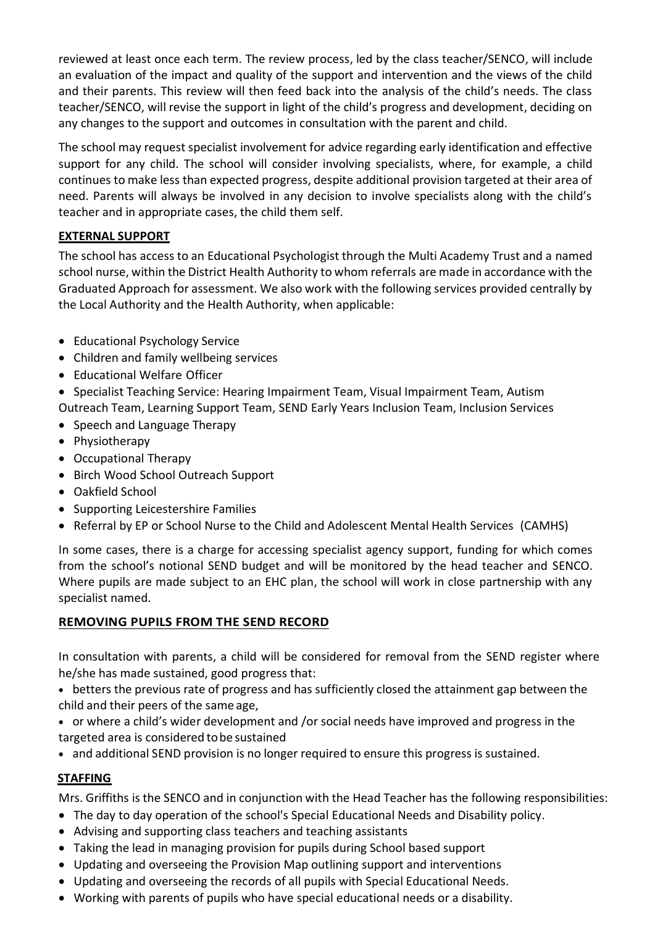reviewed at least once each term. The review process, led by the class teacher/SENCO, will include an evaluation of the impact and quality of the support and intervention and the views of the child and their parents. This review will then feed back into the analysis of the child's needs. The class teacher/SENCO, will revise the support in light of the child's progress and development, deciding on any changes to the support and outcomes in consultation with the parent and child.

The school may request specialist involvement for advice regarding early identification and effective support for any child. The school will consider involving specialists, where, for example, a child continues to make less than expected progress, despite additional provision targeted at their area of need. Parents will always be involved in any decision to involve specialists along with the child's teacher and in appropriate cases, the child them self.

## **EXTERNAL SUPPORT**

The school has access to an Educational Psychologist through the Multi Academy Trust and a named school nurse, within the District Health Authority to whom referrals are made in accordance with the Graduated Approach for assessment. We also work with the following services provided centrally by the Local Authority and the Health Authority, when applicable:

- Educational Psychology Service
- Children and family wellbeing services
- Educational Welfare Officer
- Specialist Teaching Service: Hearing Impairment Team, Visual Impairment Team, Autism
- Outreach Team, Learning Support Team, SEND Early Years Inclusion Team, Inclusion Services • Speech and Language Therapy
- Physiotherapy
- Occupational Therapy
- Birch Wood School Outreach Support
- Oakfield School
- Supporting Leicestershire Families
- Referral by EP or School Nurse to the Child and Adolescent Mental Health Services (CAMHS)

In some cases, there is a charge for accessing specialist agency support, funding for which comes from the school's notional SEND budget and will be monitored by the head teacher and SENCO. Where pupils are made subject to an EHC plan, the school will work in close partnership with any specialist named.

# **REMOVING PUPILS FROM THE SEND RECORD**

In consultation with parents, a child will be considered for removal from the SEND register where he/she has made sustained, good progress that:

• betters the previous rate of progress and has sufficiently closed the attainment gap between the child and their peers of the same age,

- or where a child's wider development and /or social needs have improved and progress in the targeted area is considered tobe sustained
- and additional SEND provision is no longer required to ensure this progress is sustained.

## **STAFFING**

Mrs. Griffiths is the SENCO and in conjunction with the Head Teacher has the following responsibilities:

- The day to day operation of the school's Special Educational Needs and Disability policy.
- Advising and supporting class teachers and teaching assistants
- Taking the lead in managing provision for pupils during School based support
- Updating and overseeing the Provision Map outlining support and interventions
- Updating and overseeing the records of all pupils with Special Educational Needs.
- Working with parents of pupils who have special educational needs or a disability.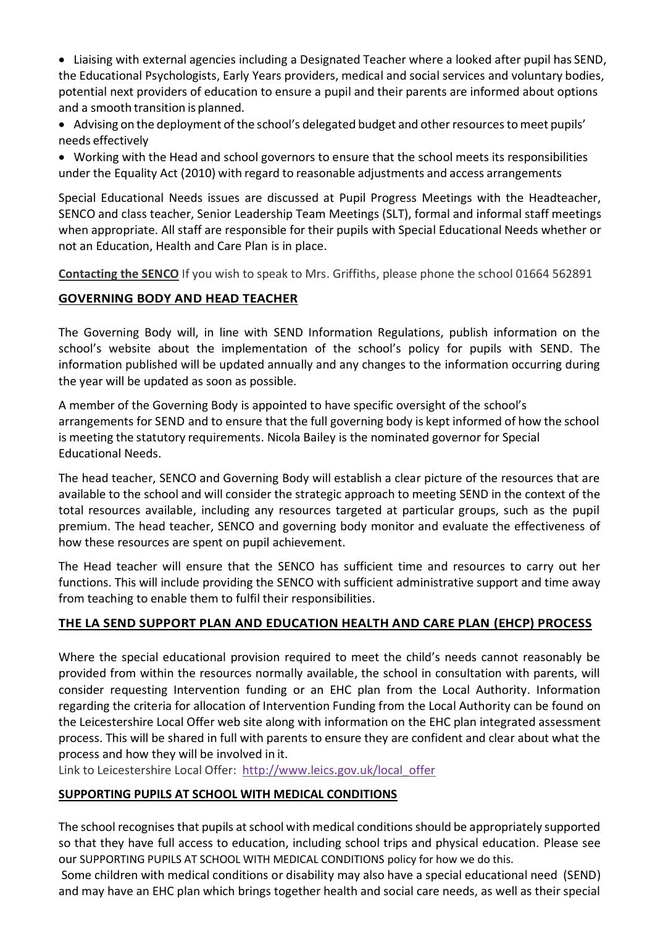- Liaising with external agencies including a Designated Teacher where a looked after pupil has SEND, the Educational Psychologists, Early Years providers, medical and social services and voluntary bodies, potential next providers of education to ensure a pupil and their parents are informed about options and a smooth transition is planned.
- Advising on the deployment of the school's delegated budget and other resources to meet pupils' needs effectively
- Working with the Head and school governors to ensure that the school meets its responsibilities under the Equality Act (2010) with regard to reasonable adjustments and access arrangements

Special Educational Needs issues are discussed at Pupil Progress Meetings with the Headteacher, SENCO and class teacher, Senior Leadership Team Meetings (SLT), formal and informal staff meetings when appropriate. All staff are responsible for their pupils with Special Educational Needs whether or not an Education, Health and Care Plan is in place.

**Contacting the SENCO** If you wish to speak to Mrs. Griffiths, please phone the school 01664 562891

# **GOVERNING BODY AND HEAD TEACHER**

The Governing Body will, in line with SEND Information Regulations, publish information on the school's website about the implementation of the school's policy for pupils with SEND. The information published will be updated annually and any changes to the information occurring during the year will be updated as soon as possible.

A member of the Governing Body is appointed to have specific oversight of the school's arrangements for SEND and to ensure that the full governing body is kept informed of how the school is meeting the statutory requirements. Nicola Bailey is the nominated governor for Special Educational Needs.

The head teacher, SENCO and Governing Body will establish a clear picture of the resources that are available to the school and will consider the strategic approach to meeting SEND in the context of the total resources available, including any resources targeted at particular groups, such as the pupil premium. The head teacher, SENCO and governing body monitor and evaluate the effectiveness of how these resources are spent on pupil achievement.

The Head teacher will ensure that the SENCO has sufficient time and resources to carry out her functions. This will include providing the SENCO with sufficient administrative support and time away from teaching to enable them to fulfil their responsibilities.

# **THE LA SEND SUPPORT PLAN AND EDUCATION HEALTH AND CARE PLAN (EHCP) PROCESS**

Where the special educational provision required to meet the child's needs cannot reasonably be provided from within the resources normally available, the school in consultation with parents, will consider requesting Intervention funding or an EHC plan from the Local Authority. Information regarding the criteria for allocation of Intervention Funding from the Local Authority can be found on the Leicestershire Local Offer web site along with information on the EHC plan integrated assessment process. This will be shared in full with parents to ensure they are confident and clear about what the process and how they will be involved in it.

Link to Leicestershire Local Offer: [http://www.leics.gov.uk/local\\_offer](http://www.leics.gov.uk/local_offer)

# **SUPPORTING PUPILS AT SCHOOL WITH MEDICAL CONDITIONS**

The school recognises that pupils at school with medical conditions should be appropriately supported so that they have full access to education, including school trips and physical education. Please see our SUPPORTING PUPILS AT SCHOOL WITH MEDICAL CONDITIONS policy for how we do this.

Some children with medical conditions or disability may also have a special educational need (SEND) and may have an EHC plan which brings together health and social care needs, as well as their special